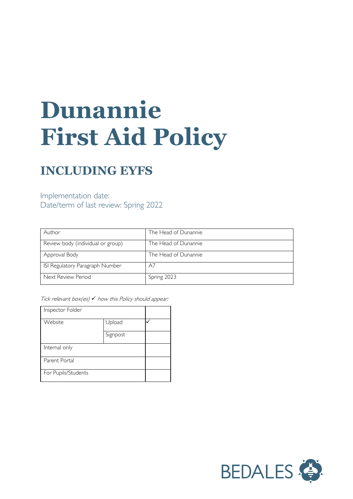# **Dunannie First Aid Policy**

# **INCLUDING EYFS**

Implementation date: Date/term of last review: Spring 2022

| Author                            | The Head of Dunannie |
|-----------------------------------|----------------------|
| Review body (individual or group) | The Head of Dunannie |
| Approval Body                     | The Head of Dunannie |
| ISI Regulatory Paragraph Number   | A7                   |
| Next Review Period                | Spring 2023          |

Tick relevant box(es)  $\checkmark$  how this Policy should appear:

| Inspector Folder    |          |  |
|---------------------|----------|--|
| Website             | Upload   |  |
|                     | Signpost |  |
| Internal only       |          |  |
| Parent Portal       |          |  |
| For Pupils/Students |          |  |

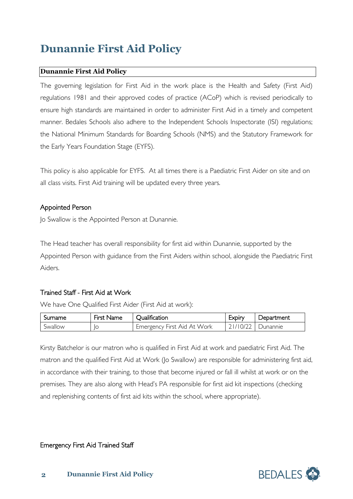# **Dunannie First Aid Policy**

# **Dunannie First Aid Policy**

The governing legislation for First Aid in the work place is the Health and Safety (First Aid) regulations 1981 and their approved codes of practice (ACoP) which is revised periodically to ensure high standards are maintained in order to administer First Aid in a timely and competent manner. Bedales Schools also adhere to the Independent Schools Inspectorate (ISI) regulations; the National Minimum Standards for Boarding Schools (NMS) and the Statutory Framework for the Early Years Foundation Stage (EYFS).

This policy is also applicable for EYFS. At all times there is a Paediatric First Aider on site and on all class visits. First Aid training will be updated every three years.

# Appointed Person

Jo Swallow is the Appointed Person at Dunannie.

The Head teacher has overall responsibility for first aid within Dunannie, supported by the Appointed Person with guidance from the First Aiders within school, alongside the Paediatric First Aiders.

# Trained Staff - First Aid at Work

We have One Qualified First Aider (First Aid at work):

| Sumame  | First Name | <b>Jualification</b>        | <b>EXDIN</b> | Department |
|---------|------------|-----------------------------|--------------|------------|
| Swallow | ١C         | Emergency First Aid At Work | 21/10/22     | I Dunannie |

Kirsty Batchelor is our matron who is qualified in First Aid at work and paediatric First Aid. The matron and the qualified First Aid at Work (Jo Swallow) are responsible for administering first aid, in accordance with their training, to those that become injured or fall ill whilst at work or on the premises. They are also along with Head's PA responsible for first aid kit inspections (checking and replenishing contents of first aid kits within the school, where appropriate).

## Emergency First Aid Trained Staff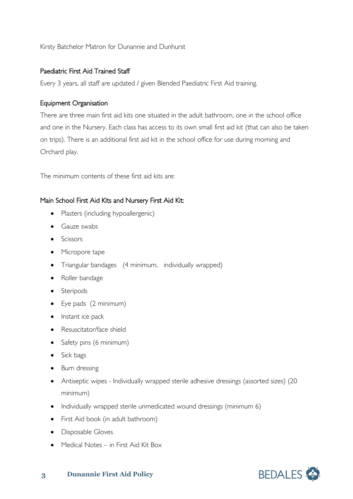Kirsty Batchelor Matron for Dunannie and Dunhurst

## Paediatric First Aid Trained Staff

Every 3 years, all staff are updated / given Blended Paediatric First Aid training.

## Equipment Organisation

There are three main first aid kits one situated in the adult bathroom, one in the school office and one in the Nursery. Each class has access to its own small first aid kit (that can also be taken on trips). There is an additional first aid kit in the school office for use during morning and Orchard play.

The minimum contents of these first aid kits are:

# Main School First Aid Kits and Nursery First Aid Kit:

- Plasters (including hypoallergenic)
- Gauze swabs
- Scissors
- Micropore tape
- Triangular bandages (4 minimum, individually wrapped)
- Roller bandage
- Steripods
- Eye pads (2 minimum)
- Instant ice pack
- Resuscitator/face shield
- Safety pins (6 minimum)
- Sick bags
- Burn dressing
- Antiseptic wipes Individually wrapped sterile adhesive dressings (assorted sizes) (20 minimum)
- Individually wrapped sterile unmedicated wound dressings (minimum 6)
- First Aid book (in adult bathroom)
- Disposable Gloves
- Medical Notes in First Aid Kit Box

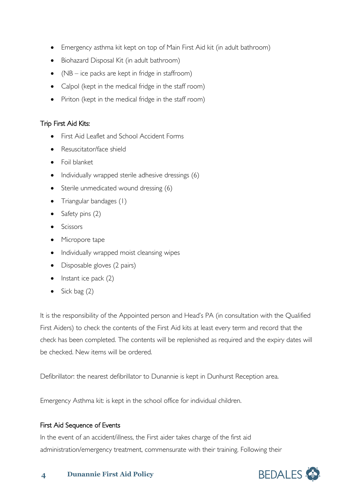- Emergency asthma kit kept on top of Main First Aid kit (in adult bathroom)
- Biohazard Disposal Kit (in adult bathroom)
- (NB ice packs are kept in fridge in staffroom)
- Calpol (kept in the medical fridge in the staff room)
- Piriton (kept in the medical fridge in the staff room)

# Trip First Aid Kits:

- First Aid Leaflet and School Accident Forms
- Resuscitator/face shield
- Foil blanket
- Individually wrapped sterile adhesive dressings (6)
- Sterile unmedicated wound dressing (6)
- Triangular bandages (1)
- Safety pins (2)
- Scissors
- Micropore tape
- Individually wrapped moist cleansing wipes
- Disposable gloves (2 pairs)
- Instant ice pack  $(2)$
- Sick bag  $(2)$

It is the responsibility of the Appointed person and Head's PA (in consultation with the Qualified First Aiders) to check the contents of the First Aid kits at least every term and record that the check has been completed. The contents will be replenished as required and the expiry dates will be checked. New items will be ordered.

Defibrillator: the nearest defibrillator to Dunannie is kept in Dunhurst Reception area.

Emergency Asthma kit: is kept in the school office for individual children.

# First Aid Sequence of Events

In the event of an accident/illness, the First aider takes charge of the first aid administration/emergency treatment, commensurate with their training. Following their

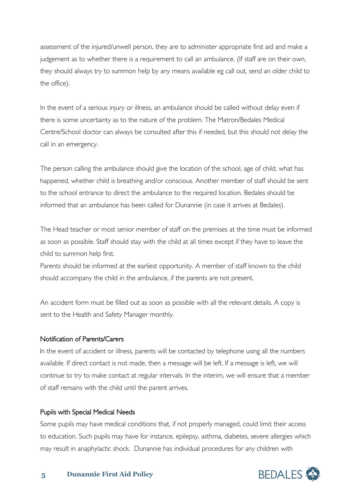assessment of the injured/unwell person, they are to administer appropriate first aid and make a judgement as to whether there is a requirement to call an ambulance. (If staff are on their own, they should always try to summon help by any means available eg call out, send an older child to the office).

In the event of a serious injury or illness, an ambulance should be called without delay even if there is some uncertainty as to the nature of the problem. The Matron/Bedales Medical Centre/School doctor can always be consulted after this if needed, but this should not delay the call in an emergency.

The person calling the ambulance should give the location of the school, age of child, what has happened, whether child is breathing and/or conscious. Another member of staff should be sent to the school entrance to direct the ambulance to the required location. Bedales should be informed that an ambulance has been called for Dunannie (in case it arrives at Bedales).

The Head teacher or most senior member of staff on the premises at the time must be informed as soon as possible. Staff should stay with the child at all times except if they have to leave the child to summon help first.

Parents should be informed at the earliest opportunity. A member of staff known to the child should accompany the child in the ambulance, if the parents are not present.

An accident form must be filled out as soon as possible with all the relevant details. A copy is sent to the Health and Safety Manager monthly.

#### Notification of Parents/Carers

In the event of accident or illness, parents will be contacted by telephone using all the numbers available. If direct contact is not made, then a message will be left. If a message is left, we will continue to try to make contact at regular intervals. In the interim, we will ensure that a member of staff remains with the child until the parent arrives.

#### Pupils with Special Medical Needs

Some pupils may have medical conditions that, if not properly managed, could limit their access to education. Such pupils may have for instance, epilepsy, asthma, diabetes, severe allergies which may result in anaphylactic shock. Dunannie has individual procedures for any children with

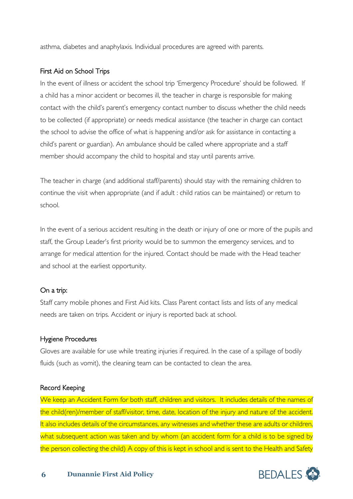asthma, diabetes and anaphylaxis. Individual procedures are agreed with parents.

# First Aid on School Trips

In the event of illness or accident the school trip 'Emergency Procedure' should be followed. If a child has a minor accident or becomes ill, the teacher in charge is responsible for making contact with the child's parent's emergency contact number to discuss whether the child needs to be collected (if appropriate) or needs medical assistance (the teacher in charge can contact the school to advise the office of what is happening and/or ask for assistance in contacting a child's parent or guardian). An ambulance should be called where appropriate and a staff member should accompany the child to hospital and stay until parents arrive.

The teacher in charge (and additional staff/parents) should stay with the remaining children to continue the visit when appropriate (and if adult : child ratios can be maintained) or return to school.

In the event of a serious accident resulting in the death or injury of one or more of the pupils and staff, the Group Leader's first priority would be to summon the emergency services, and to arrange for medical attention for the injured. Contact should be made with the Head teacher and school at the earliest opportunity.

## On a trip:

Staff carry mobile phones and First Aid kits. Class Parent contact lists and lists of any medical needs are taken on trips. Accident or injury is reported back at school.

## Hygiene Procedures

Gloves are available for use while treating injuries if required. In the case of a spillage of bodily fluids (such as vomit), the cleaning team can be contacted to clean the area.

## Record Keeping

We keep an Accident Form for both staff, children and visitors. It includes details of the names of the child(ren)/member of staff/visitor, time, date, location of the injury and nature of the accident. It also includes details of the circumstances, any witnesses and whether these are adults or children, what subsequent action was taken and by whom (an accident form for a child is to be signed by the person collecting the child) A copy of this is kept in school and is sent to the Health and Safety